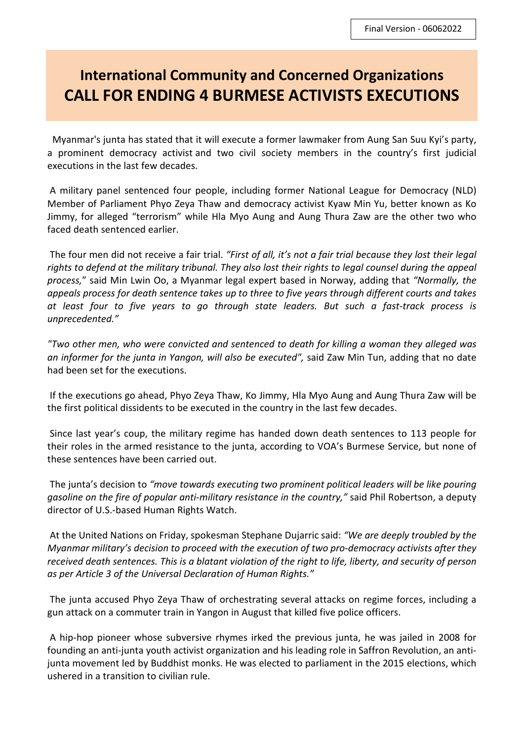## **International Community and Concerned Organizations CALL FOR ENDING 4 BURMESE ACTIVISTS EXECUTIONS**

 Myanmar's junta has stated that it will execute a former lawmaker from Aung San Suu Kyi's party, a prominent democracy activist and two civil society members in the country's first judicial executions in the last few decades.

 A military panel sentenced four people, including former National League for Democracy (NLD) Member of Parliament Phyo Zeya Thaw and democracy activist Kyaw Min Yu, better known as Ko Jimmy, for alleged "terrorism" while Hla Myo Aung and Aung Thura Zaw are the other two who faced death sentenced earlier.

 The four men did not receive a fair trial. *"First of all, it's not a fair trial because they lost their legal rights to defend at the military tribunal. They also lost their rights to legal counsel during the appeal process,*" said Min Lwin Oo, a Myanmar legal expert based in Norway, adding that *"Normally, the appeals process for death sentence takes up to three to five years through different courts and takes at least four to five years to go through state leaders. But such a fast-track process is unprecedented."* 

*"Two other men, who were convicted and sentenced to death for killing a woman they alleged was an informer for the junta in Yangon, will also be executed",* said Zaw Min Tun, adding that no date had been set for the executions.

 If the executions go ahead, Phyo Zeya Thaw, Ko Jimmy, Hla Myo Aung and Aung Thura Zaw will be the first political dissidents to be executed in the country in the last few decades.

 Since last year's coup, the military regime has handed down death sentences to 113 people for their roles in the armed resistance to the junta, according to VOA's Burmese Service, but none of these sentences have been carried out.

 The junta's decision to *"move towards executing two prominent political leaders will be like pouring gasoline on the fire of popular anti-military resistance in the country,"* said Phil Robertson, a deputy director of U.S.-based Human Rights Watch.

 At the United Nations on Friday, spokesman Stephane Dujarric said: *"We are deeply troubled by the Myanmar military's decision to proceed with the execution of two pro-democracy activists after they received death sentences. This is a blatant violation of the right to life, liberty, and security of person as per Article 3 of the Universal Declaration of Human Rights."* 

 The junta accused Phyo Zeya Thaw of orchestrating several attacks on regime forces, including a gun attack on a commuter train in Yangon in August that killed five police officers.

 A hip-hop pioneer whose subversive rhymes irked the previous junta, he was jailed in 2008 for founding an anti-junta youth activist organization and his leading role in Saffron Revolution, an antijunta movement led by Buddhist monks. He was elected to parliament in the 2015 elections, which ushered in a transition to civilian rule.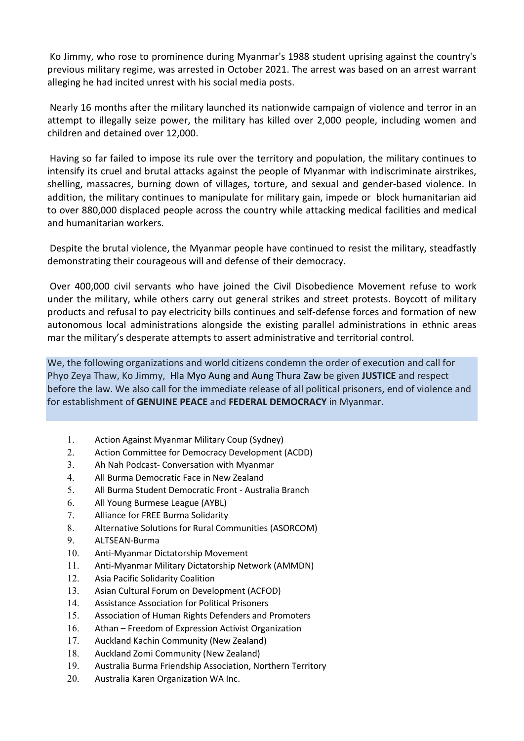Ko Jimmy, who rose to prominence during Myanmar's 1988 student uprising against the country's previous military regime, was arrested in October 2021. The arrest was based on an arrest warrant alleging he had incited unrest with his social media posts.

Nearly 16 months after the military launched its nationwide campaign of violence and terror in an attempt to illegally seize power, the military has killed over 2,000 people, including women and children and detained over 12,000.

Having so far failed to impose its rule over the territory and population, the military continues to intensify its cruel and brutal attacks against the people of Myanmar with indiscriminate airstrikes, shelling, massacres, burning down of villages, torture, and sexual and gender-based violence. In addition, the military continues to manipulate for military gain, impede or block humanitarian aid to over 880,000 displaced people across the country while attacking medical facilities and medical and humanitarian workers.

Despite the brutal violence, the Myanmar people have continued to resist the military, steadfastly demonstrating their courageous will and defense of their democracy.

Over 400,000 civil servants who have joined the Civil Disobedience Movement refuse to work under the military, while others carry out general strikes and street protests. Boycott of military products and refusal to pay electricity bills continues and self-defense forces and formation of new autonomous local administrations alongside the existing parallel administrations in ethnic areas mar the military's desperate attempts to assert administrative and territorial control.

We, the following organizations and world citizens condemn the order of execution and call for Phyo Zeya Thaw, Ko Jimmy, Hla Myo Aung and Aung Thura Zaw be given **JUSTICE** and respect before the law. We also call for the immediate release of all political prisoners, end of violence and for establishment of **GENUINE PEACE** and **FEDERAL DEMOCRACY** in Myanmar.

- 1. Action Against Myanmar Military Coup (Sydney)
- 2. Action Committee for Democracy Development (ACDD)
- 3. Ah Nah Podcast- Conversation with Myanmar
- 4. All Burma Democratic Face in New Zealand
- 5. All Burma Student Democratic Front Australia Branch
- 6. All Young Burmese League (AYBL)
- 7. Alliance for FREE Burma Solidarity
- 8. Alternative Solutions for Rural Communities (ASORCOM)
- 9. ALTSEAN-Burma
- 10. Anti-Myanmar Dictatorship Movement
- 11. Anti-Myanmar Military Dictatorship Network (AMMDN)
- 12. Asia Pacific Solidarity Coalition
- 13. Asian Cultural Forum on Development (ACFOD)
- 14. Assistance Association for Political Prisoners
- 15. Association of Human Rights Defenders and Promoters
- 16. Athan Freedom of Expression Activist Organization
- 17. Auckland Kachin Community (New Zealand)
- 18. Auckland Zomi Community (New Zealand)
- 19. Australia Burma Friendship Association, Northern Territory
- 20. Australia Karen Organization WA Inc.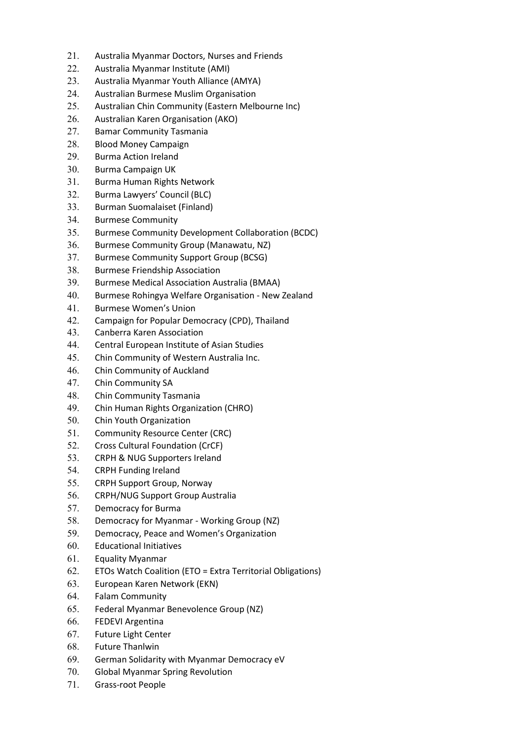- 21. Australia Myanmar Doctors, Nurses and Friends
- 22. Australia Myanmar Institute (AMI)
- 23. Australia Myanmar Youth Alliance (AMYA)
- 24. Australian Burmese Muslim Organisation
- 25. Australian Chin Community (Eastern Melbourne Inc)
- 26. Australian Karen Organisation (AKO)
- 27. Bamar Community Tasmania
- 28. Blood Money Campaign
- 29. Burma Action Ireland
- 30. Burma Campaign UK
- 31. Burma Human Rights Network
- 32. Burma Lawyers' Council (BLC)
- 33. Burman Suomalaiset (Finland)
- 34. Burmese Community
- 35. Burmese Community Development Collaboration (BCDC)
- 36. Burmese Community Group (Manawatu, NZ)
- 37. Burmese Community Support Group (BCSG)
- 38. Burmese Friendship Association
- 39. Burmese Medical Association Australia (BMAA)
- 40. Burmese Rohingya Welfare Organisation New Zealand
- 41. Burmese Women's Union
- 42. Campaign for Popular Democracy (CPD), Thailand
- 43. Canberra Karen Association
- 44. Central European Institute of Asian Studies
- 45. Chin Community of Western Australia Inc.
- 46. Chin Community of Auckland
- 47. Chin Community SA
- 48. Chin Community Tasmania
- 49. Chin Human Rights Organization (CHRO)
- 50. Chin Youth Organization
- 51. Community Resource Center (CRC)
- 52. Cross Cultural Foundation (CrCF)
- 53. CRPH & NUG Supporters Ireland
- 54. CRPH Funding Ireland
- 55. CRPH Support Group, Norway
- 56. CRPH/NUG Support Group Australia
- 57. Democracy for Burma
- 58. Democracy for Myanmar Working Group (NZ)
- 59. Democracy, Peace and Women's Organization
- 60. Educational Initiatives
- 61. Equality Myanmar
- 62. ETOs Watch Coalition (ETO = Extra Territorial Obligations)
- 63. European Karen Network (EKN)
- 64. Falam Community
- 65. Federal Myanmar Benevolence Group (NZ)
- 66. FEDEVI Argentina
- 67. Future Light Center
- 68. Future Thanlwin
- 69. German Solidarity with Myanmar Democracy eV
- 70. Global Myanmar Spring Revolution
- 71. Grass-root People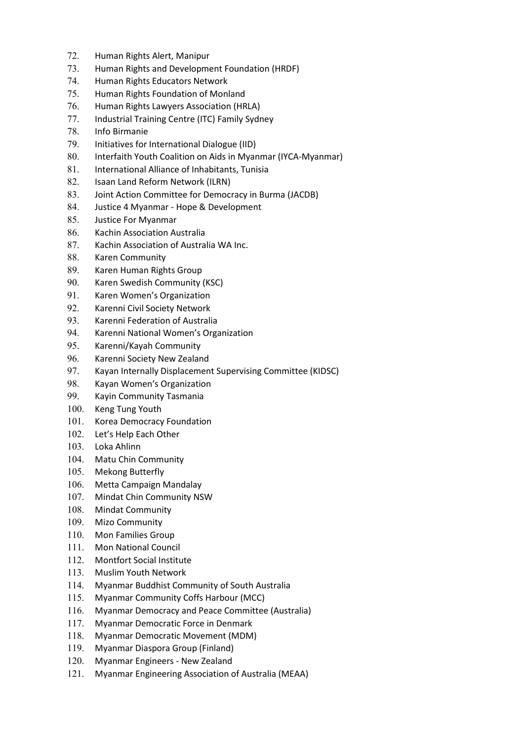- 72. Human Rights Alert, Manipur
- 73. Human Rights and Development Foundation (HRDF)
- 74. Human Rights Educators Network
- 75. Human Rights Foundation of Monland
- 76. Human Rights Lawyers Association (HRLA)
- 77. Industrial Training Centre (ITC) Family Sydney
- 78. Info Birmanie
- 79. Initiatives for International Dialogue (IID)
- 80. Interfaith Youth Coalition on Aids in Myanmar (IYCA-Myanmar)
- 81. International Alliance of Inhabitants, Tunisia
- 82. Isaan Land Reform Network (ILRN)
- 83. Joint Action Committee for Democracy in Burma (JACDB)
- 84. Justice 4 Myanmar Hope & Development
- 85. Justice For Myanmar
- 86. Kachin Association Australia
- 87. Kachin Association of Australia WA Inc.
- 88. Karen Community
- 89. Karen Human Rights Group
- 90. Karen Swedish Community (KSC)
- 91. Karen Women's Organization
- 92. Karenni Civil Society Network
- 93. Karenni Federation of Australia
- 94. Karenni National Women's Organization
- 95. Karenni/Kayah Community
- 96. Karenni Society New Zealand
- 97. Kayan Internally Displacement Supervising Committee (KIDSC)
- 98. Kayan Women's Organization
- 99. Kayin Community Tasmania
- 100. Keng Tung Youth
- 101. Korea Democracy Foundation
- 102. Let's Help Each Other
- 103. Loka Ahlinn
- 104. Matu Chin Community
- 105. Mekong Butterfly
- 106. Metta Campaign Mandalay
- 107. Mindat Chin Community NSW
- 108. Mindat Community
- 109. Mizo Community
- 110. Mon Families Group
- 111. Mon National Council
- 112. Montfort Social Institute
- 113. Muslim Youth Network
- 114. Myanmar Buddhist Community of South Australia
- 115. Myanmar Community Coffs Harbour (MCC)
- 116. Myanmar Democracy and Peace Committee (Australia)
- 117. Myanmar Democratic Force in Denmark
- 118. Myanmar Democratic Movement (MDM)
- 119. Myanmar Diaspora Group (Finland)
- 120. Myanmar Engineers New Zealand
- 121. Myanmar Engineering Association of Australia (MEAA)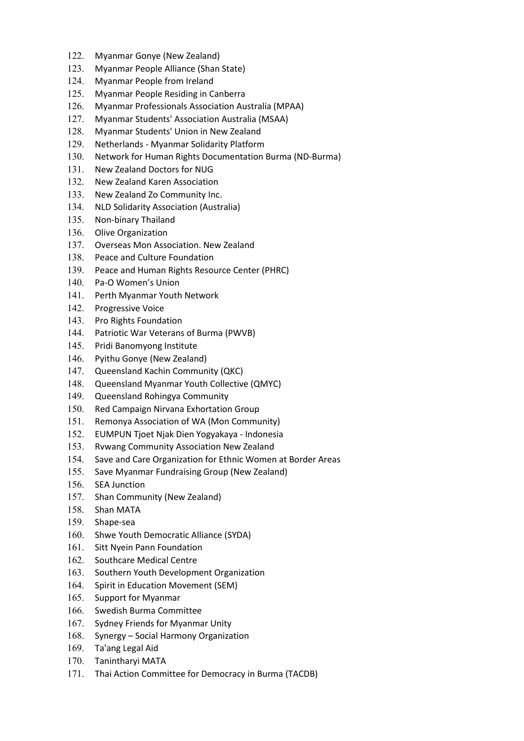- 122. Myanmar Gonye (New Zealand)
- 123. Myanmar People Alliance (Shan State)
- 124. Myanmar People from Ireland
- 125. Myanmar People Residing in Canberra
- 126. Myanmar Professionals Association Australia (MPAA)
- 127. Myanmar Students' Association Australia (MSAA)
- 128. Myanmar Students' Union in New Zealand
- 129. Netherlands Myanmar Solidarity Platform
- 130. Network for Human Rights Documentation Burma (ND-Burma)
- 131. New Zealand Doctors for NUG
- 132. New Zealand Karen Association
- 133. New Zealand Zo Community Inc.
- 134. NLD Solidarity Association (Australia)
- 135. Non-binary Thailand
- 136. Olive Organization
- 137. Overseas Mon Association. New Zealand
- 138. Peace and Culture Foundation
- 139. Peace and Human Rights Resource Center (PHRC)
- 140. Pa-O Women's Union
- 141. Perth Myanmar Youth Network
- 142. Progressive Voice
- 143. Pro Rights Foundation
- 144. Patriotic War Veterans of Burma (PWVB)
- 145. Pridi Banomyong Institute
- 146. Pyithu Gonye (New Zealand)
- 147. Queensland Kachin Community (QKC)
- 148. Queensland Myanmar Youth Collective (QMYC)
- 149. Queensland Rohingya Community
- 150. Red Campaign Nirvana Exhortation Group
- 151. Remonya Association of WA (Mon Community)
- 152. EUMPUN Tjoet Njak Dien Yogyakaya Indonesia
- 153. Rvwang Community Association New Zealand
- 154. Save and Care Organization for Ethnic Women at Border Areas
- 155. Save Myanmar Fundraising Group (New Zealand)
- 156. SEA Junction
- 157. Shan Community (New Zealand)
- 158. Shan MATA
- 159. Shape-sea
- 160. Shwe Youth Democratic Alliance (SYDA)
- 161. Sitt Nyein Pann Foundation
- 162. Southcare Medical Centre
- 163. Southern Youth Development Organization
- 164. Spirit in Education Movement (SEM)
- 165. Support for Myanmar
- 166. Swedish Burma Committee
- 167. Sydney Friends for Myanmar Unity
- 168. Synergy Social Harmony Organization
- 169. Ta'ang Legal Aid
- 170. Tanintharyi MATA
- 171. Thai Action Committee for Democracy in Burma (TACDB)